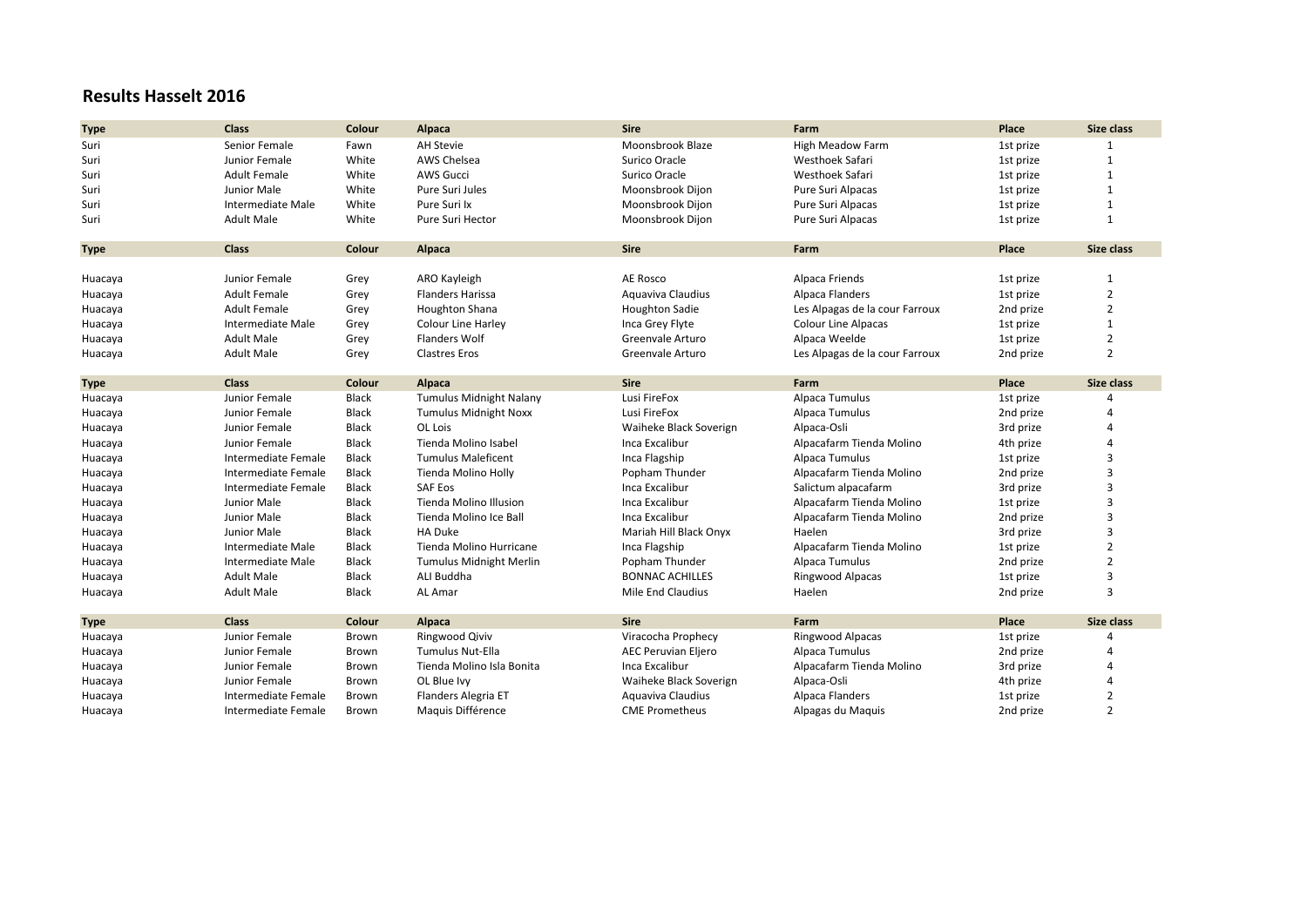## **Results Hasselt 2016**

| <b>Type</b> | Class               | Colour       | Alpaca                         | <b>Sire</b>                | Farm                           | Place     | Size class     |
|-------------|---------------------|--------------|--------------------------------|----------------------------|--------------------------------|-----------|----------------|
| Suri        | Senior Female       | Fawn         | <b>AH Stevie</b>               | Moonsbrook Blaze           | <b>High Meadow Farm</b>        | 1st prize |                |
| Suri        | Junior Female       | White        | AWS Chelsea                    | Surico Oracle              | Westhoek Safari                | 1st prize | $\mathbf{1}$   |
| Suri        | <b>Adult Female</b> | White        | <b>AWS Gucci</b>               | Surico Oracle              | Westhoek Safari                | 1st prize | $\mathbf{1}$   |
| Suri        | Junior Male         | White        | Pure Suri Jules                | Moonsbrook Dijon           | Pure Suri Alpacas              | 1st prize | $\mathbf{1}$   |
| Suri        | Intermediate Male   | White        | Pure Suri Ix                   | Moonsbrook Dijon           | Pure Suri Alpacas              | 1st prize | $\mathbf{1}$   |
| Suri        | <b>Adult Male</b>   | White        | Pure Suri Hector               | Moonsbrook Dijon           | Pure Suri Alpacas              | 1st prize | $\mathbf{1}$   |
|             |                     |              |                                |                            |                                |           |                |
| <b>Type</b> | <b>Class</b>        | Colour       | Alpaca                         | <b>Sire</b>                | Farm                           | Place     | Size class     |
|             |                     |              |                                |                            |                                |           |                |
| Huacaya     | Junior Female       | Grey         | ARO Kayleigh                   | <b>AE Rosco</b>            | Alpaca Friends                 | 1st prize | $\mathbf 1$    |
| Huacaya     | <b>Adult Female</b> | Grey         | <b>Flanders Harissa</b>        | Aquaviva Claudius          | Alpaca Flanders                | 1st prize | $\overline{2}$ |
| Huacaya     | <b>Adult Female</b> | Grey         | <b>Houghton Shana</b>          | <b>Houghton Sadie</b>      | Les Alpagas de la cour Farroux | 2nd prize | $\overline{2}$ |
| Huacaya     | Intermediate Male   | Grey         | Colour Line Harley             | Inca Grey Flyte            | <b>Colour Line Alpacas</b>     | 1st prize | $\mathbf{1}$   |
| Huacaya     | <b>Adult Male</b>   | Grey         | <b>Flanders Wolf</b>           | Greenvale Arturo           | Alpaca Weelde                  | 1st prize | 2              |
| Huacaya     | <b>Adult Male</b>   | Grey         | <b>Clastres Eros</b>           | Greenvale Arturo           | Les Alpagas de la cour Farroux | 2nd prize | $\overline{2}$ |
|             |                     |              |                                |                            |                                |           |                |
| <b>Type</b> | <b>Class</b>        | Colour       | Alpaca                         | <b>Sire</b>                | Farm                           | Place     | Size class     |
| Huacaya     | Junior Female       | Black        | <b>Tumulus Midnight Nalany</b> | Lusi FireFox               | Alpaca Tumulus                 | 1st prize |                |
| Huacaya     | Junior Female       | Black        | <b>Tumulus Midnight Noxx</b>   | Lusi FireFox               | Alpaca Tumulus                 | 2nd prize | Δ              |
| Huacaya     | Junior Female       | <b>Black</b> | OL Lois                        | Waiheke Black Soverign     | Alpaca-Osli                    | 3rd prize | 4              |
| Huacaya     | Junior Female       | Black        | Tienda Molino Isabel           | Inca Excalibur             | Alpacafarm Tienda Molino       | 4th prize | Δ              |
| Huacaya     | Intermediate Female | Black        | <b>Tumulus Maleficent</b>      | Inca Flagship              | Alpaca Tumulus                 | 1st prize | 3              |
| Huacaya     | Intermediate Female | Black        | Tienda Molino Holly            | Popham Thunder             | Alpacafarm Tienda Molino       | 2nd prize | 3              |
| Huacaya     | Intermediate Female | Black        | <b>SAF Eos</b>                 | Inca Excalibur             | Salictum alpacafarm            | 3rd prize | 3              |
| Huacaya     | Junior Male         | Black        | Tienda Molino Illusion         | Inca Excalibur             | Alpacafarm Tienda Molino       | 1st prize | 3              |
| Huacaya     | Junior Male         | Black        | Tienda Molino Ice Ball         | Inca Excalibur             | Alpacafarm Tienda Molino       | 2nd prize | 3              |
| Huacaya     | Junior Male         | Black        | <b>HA Duke</b>                 | Mariah Hill Black Onyx     | Haelen                         | 3rd prize | 3              |
| Huacaya     | Intermediate Male   | <b>Black</b> | Tienda Molino Hurricane        | Inca Flagship              | Alpacafarm Tienda Molino       | 1st prize | $\overline{2}$ |
| Huacaya     | Intermediate Male   | Black        | <b>Tumulus Midnight Merlin</b> | Popham Thunder             | Alpaca Tumulus                 | 2nd prize | $\overline{2}$ |
| Huacaya     | <b>Adult Male</b>   | Black        | ALI Buddha                     | <b>BONNAC ACHILLES</b>     | Ringwood Alpacas               | 1st prize | 3              |
| Huacaya     | <b>Adult Male</b>   | Black        | AL Amar                        | Mile End Claudius          | Haelen                         | 2nd prize | 3              |
|             |                     |              |                                |                            |                                |           |                |
| <b>Type</b> | <b>Class</b>        | Colour       | Alpaca                         | <b>Sire</b>                | Farm                           | Place     | Size class     |
| Huacaya     | Junior Female       | Brown        | <b>Ringwood Qiviv</b>          | Viracocha Prophecy         | Ringwood Alpacas               | 1st prize | 4              |
| Huacaya     | Junior Female       | Brown        | <b>Tumulus Nut-Ella</b>        | <b>AEC Peruvian Eljero</b> | Alpaca Tumulus                 | 2nd prize | Δ              |
| Huacaya     | Junior Female       | Brown        | Tienda Molino Isla Bonita      | Inca Excalibur             | Alpacafarm Tienda Molino       | 3rd prize | 4              |
| Huacaya     | Junior Female       | Brown        | OL Blue Ivy                    | Waiheke Black Soverign     | Alpaca-Osli                    | 4th prize | 4              |
| Huacaya     | Intermediate Female | Brown        | Flanders Alegria ET            | Aquaviva Claudius          | Alpaca Flanders                | 1st prize | 2              |
| Huacaya     | Intermediate Female | Brown        | Maquis Différence              | <b>CME Prometheus</b>      | Alpagas du Maquis              | 2nd prize | $\overline{2}$ |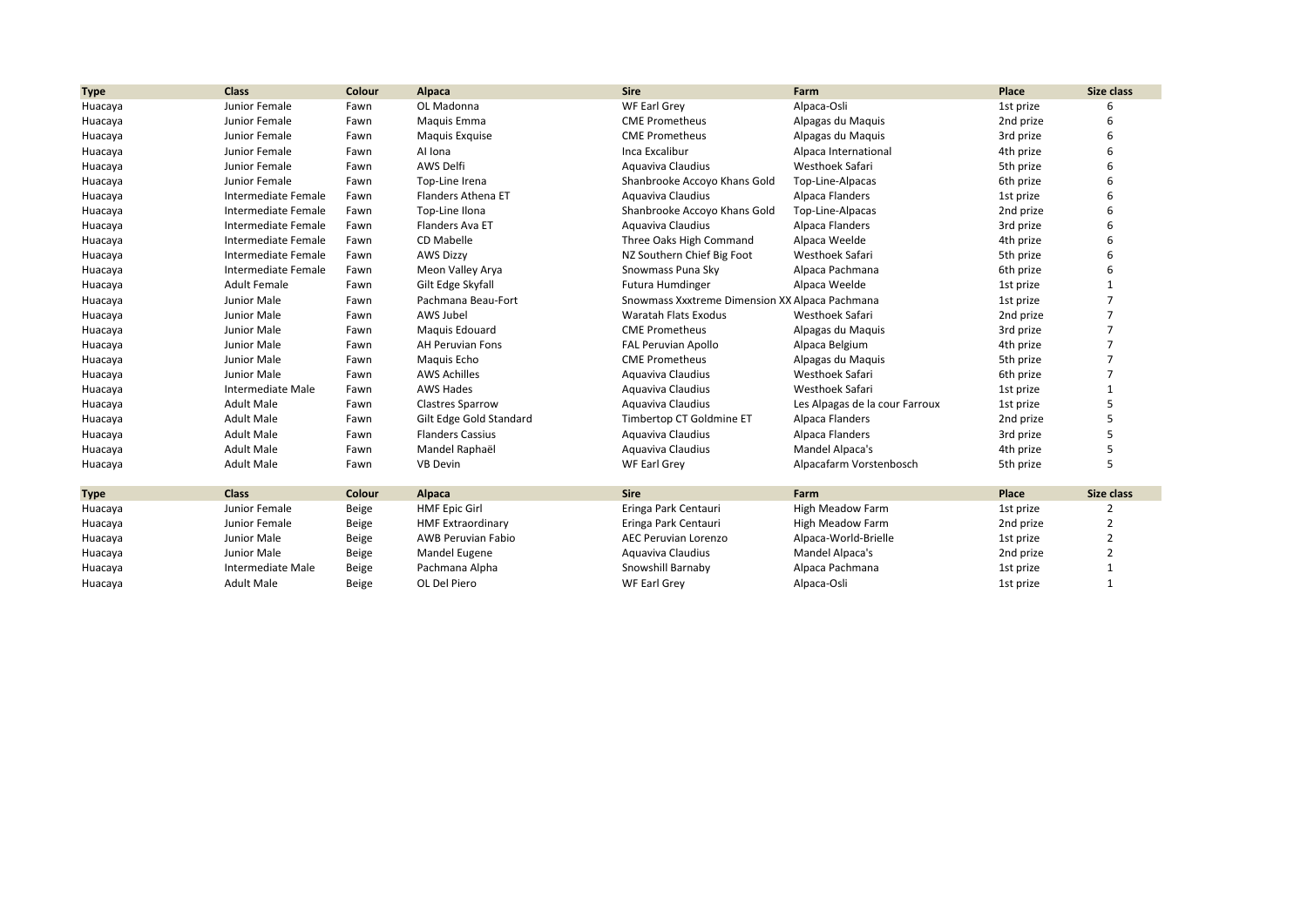| <b>Type</b> | <b>Class</b>        | Colour | Alpaca                    | <b>Sire</b>                                    | Farm                           | Place     | Size class |
|-------------|---------------------|--------|---------------------------|------------------------------------------------|--------------------------------|-----------|------------|
| Huacaya     | Junior Female       | Fawn   | OL Madonna                | WF Earl Grey                                   | Alpaca-Osli                    | 1st prize |            |
| Huacaya     | Junior Female       | Fawn   | Maquis Emma               | <b>CME Prometheus</b>                          | Alpagas du Maquis              | 2nd prize | 6          |
| Huacaya     | Junior Female       | Fawn   | Maquis Exquise            | <b>CME Prometheus</b>                          | Alpagas du Maquis              | 3rd prize | 6          |
| Huacaya     | Junior Female       | Fawn   | Al Iona                   | Inca Excalibur                                 | Alpaca International           | 4th prize |            |
| Huacaya     | Junior Female       | Fawn   | AWS Delfi                 | Aguaviva Claudius                              | Westhoek Safari                | 5th prize |            |
| Huacaya     | Junior Female       | Fawn   | Top-Line Irena            | Shanbrooke Accoyo Khans Gold                   | Top-Line-Alpacas               | 6th prize |            |
| Huacaya     | Intermediate Female | Fawn   | <b>Flanders Athena ET</b> | Aguaviva Claudius                              | Alpaca Flanders                | 1st prize | 6          |
| Huacaya     | Intermediate Female | Fawn   | Top-Line Ilona            | Shanbrooke Accoyo Khans Gold                   | Top-Line-Alpacas               | 2nd prize |            |
| Huacaya     | Intermediate Female | Fawn   | Flanders Ava ET           | Aguaviva Claudius                              | Alpaca Flanders                | 3rd prize |            |
| Huacaya     | Intermediate Female | Fawn   | <b>CD Mabelle</b>         | Three Oaks High Command                        | Alpaca Weelde                  | 4th prize |            |
| Huacaya     | Intermediate Female | Fawn   | <b>AWS Dizzy</b>          | NZ Southern Chief Big Foot                     | Westhoek Safari                | 5th prize |            |
| Huacaya     | Intermediate Female | Fawn   | Meon Valley Arya          | Snowmass Puna Sky                              | Alpaca Pachmana                | 6th prize | 6          |
| Huacaya     | <b>Adult Female</b> | Fawn   | Gilt Edge Skyfall         | Futura Humdinger                               | Alpaca Weelde                  | 1st prize |            |
| Huacaya     | Junior Male         | Fawn   | Pachmana Beau-Fort        | Snowmass Xxxtreme Dimension XX Alpaca Pachmana |                                | 1st prize |            |
| Huacaya     | Junior Male         | Fawn   | AWS Jubel                 | Waratah Flats Exodus                           | Westhoek Safari                | 2nd prize |            |
| Huacaya     | Junior Male         | Fawn   | Maguis Edouard            | <b>CME Prometheus</b>                          | Alpagas du Maquis              | 3rd prize | 7          |
| Huacaya     | Junior Male         | Fawn   | <b>AH Peruvian Fons</b>   | <b>FAL Peruvian Apollo</b>                     | Alpaca Belgium                 | 4th prize | 7          |
| Huacaya     | Junior Male         | Fawn   | Maguis Echo               | <b>CME Prometheus</b>                          | Alpagas du Maquis              | 5th prize |            |
| Huacaya     | Junior Male         | Fawn   | <b>AWS Achilles</b>       | Aguaviva Claudius                              | Westhoek Safari                | 6th prize |            |
| Huacaya     | Intermediate Male   | Fawn   | <b>AWS Hades</b>          | Aquaviva Claudius                              | Westhoek Safari                | 1st prize |            |
| Huacaya     | <b>Adult Male</b>   | Fawn   | <b>Clastres Sparrow</b>   | Aguaviva Claudius                              | Les Alpagas de la cour Farroux | 1st prize | 5          |
| Huacaya     | <b>Adult Male</b>   | Fawn   | Gilt Edge Gold Standard   | Timbertop CT Goldmine ET                       | Alpaca Flanders                | 2nd prize | 5          |
| Huacaya     | <b>Adult Male</b>   | Fawn   | <b>Flanders Cassius</b>   | Aquaviva Claudius                              | Alpaca Flanders                | 3rd prize |            |
| Huacaya     | <b>Adult Male</b>   | Fawn   | Mandel Raphaël            | Aquaviva Claudius                              | Mandel Alpaca's                | 4th prize |            |
| Huacaya     | <b>Adult Male</b>   | Fawn   | <b>VB Devin</b>           | WF Earl Grey                                   | Alpacafarm Vorstenbosch        | 5th prize | 5          |
| <b>Type</b> | <b>Class</b>        | Colour | Alpaca                    | <b>Sire</b>                                    | Farm                           | Place     | Size class |
| Huacaya     | Junior Female       | Beige  | <b>HMF Epic Girl</b>      | Eringa Park Centauri                           | High Meadow Farm               | 1st prize |            |
| Huacaya     | Junior Female       | Beige  | <b>HMF Extraordinary</b>  | Eringa Park Centauri                           | High Meadow Farm               | 2nd prize | 2          |
| Huacaya     | Junior Male         | Beige  | <b>AWB Peruvian Fabio</b> | AEC Peruvian Lorenzo                           | Alpaca-World-Brielle           | 1st prize | 2          |
| Huacaya     | Junior Male         | Beige  | Mandel Eugene             | Aquaviva Claudius                              | Mandel Alpaca's                | 2nd prize | 2          |
| Huacaya     | Intermediate Male   | Beige  | Pachmana Alpha            | Snowshill Barnaby                              | Alpaca Pachmana                | 1st prize |            |
| Huacaya     | <b>Adult Male</b>   | Beige  | OL Del Piero              | <b>WF Earl Grey</b>                            | Alpaca-Osli                    | 1st prize |            |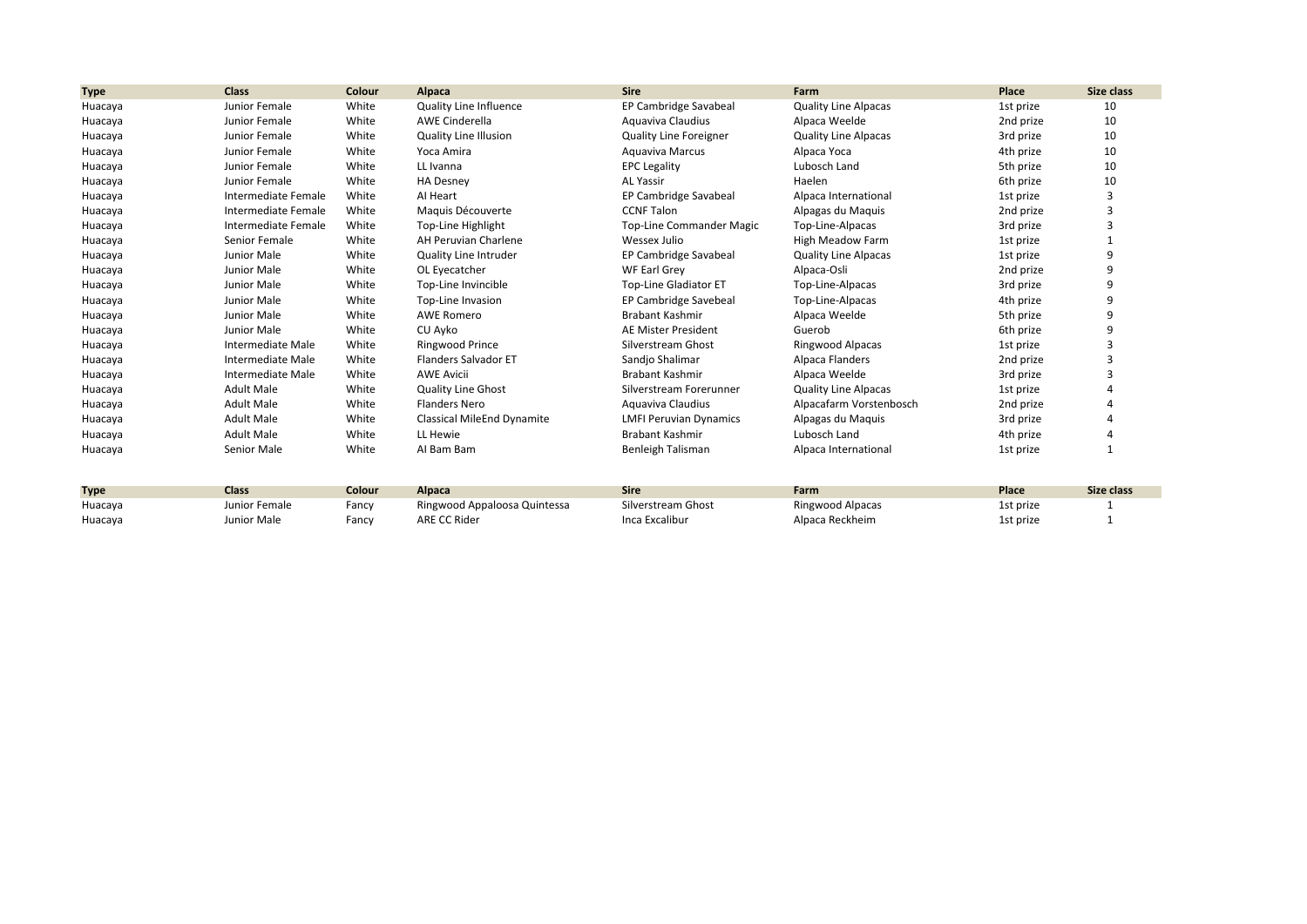| <b>Type</b> | <b>Class</b>        | Colour | Alpaca                        | <b>Sire</b>                   | Farm                        | Place     | Size class |
|-------------|---------------------|--------|-------------------------------|-------------------------------|-----------------------------|-----------|------------|
| Huacaya     | Junior Female       | White  | <b>Quality Line Influence</b> | EP Cambridge Savabeal         | <b>Quality Line Alpacas</b> | 1st prize | 10         |
| Huacaya     | Junior Female       | White  | <b>AWE Cinderella</b>         | Aquaviva Claudius             | Alpaca Weelde               | 2nd prize | 10         |
| Huacaya     | Junior Female       | White  | <b>Quality Line Illusion</b>  | <b>Quality Line Foreigner</b> | <b>Quality Line Alpacas</b> | 3rd prize | 10         |
| Huacaya     | Junior Female       | White  | Yoca Amira                    | Aguaviva Marcus               | Alpaca Yoca                 | 4th prize | 10         |
| Huacaya     | Junior Female       | White  | LL Ivanna                     | <b>EPC Legality</b>           | Lubosch Land                | 5th prize | 10         |
| Huacaya     | Junior Female       | White  | <b>HA Desney</b>              | <b>AL Yassir</b>              | Haelen                      | 6th prize | 10         |
| Huacaya     | Intermediate Female | White  | Al Heart                      | EP Cambridge Savabeal         | Alpaca International        | 1st prize |            |
| Huacaya     | Intermediate Female | White  | Maguis Découverte             | <b>CCNF Talon</b>             | Alpagas du Maquis           | 2nd prize |            |
| Huacaya     | Intermediate Female | White  | Top-Line Highlight            | Top-Line Commander Magic      | Top-Line-Alpacas            | 3rd prize |            |
| Huacaya     | Senior Female       | White  | AH Peruvian Charlene          | Wessex Julio                  | High Meadow Farm            | 1st prize |            |
| Huacaya     | Junior Male         | White  | Quality Line Intruder         | EP Cambridge Savabeal         | <b>Quality Line Alpacas</b> | 1st prize | 9          |
| Huacaya     | Junior Male         | White  | OL Eyecatcher                 | <b>WF Earl Grey</b>           | Alpaca-Osli                 | 2nd prize | 9          |
| Huacaya     | Junior Male         | White  | Top-Line Invincible           | <b>Top-Line Gladiator ET</b>  | Top-Line-Alpacas            | 3rd prize | 9          |
| Huacaya     | Junior Male         | White  | Top-Line Invasion             | EP Cambridge Savebeal         | Top-Line-Alpacas            | 4th prize | 9          |
| Huacaya     | Junior Male         | White  | <b>AWE Romero</b>             | <b>Brabant Kashmir</b>        | Alpaca Weelde               | 5th prize | 9          |
| Huacaya     | Junior Male         | White  | CU Ayko                       | AE Mister President           | Guerob                      | 6th prize | q          |
| Huacaya     | Intermediate Male   | White  | Ringwood Prince               | Silverstream Ghost            | Ringwood Alpacas            | 1st prize |            |
| Huacaya     | Intermediate Male   | White  | Flanders Salvador ET          | Sandjo Shalimar               | Alpaca Flanders             | 2nd prize | 3          |
| Huacaya     | Intermediate Male   | White  | <b>AWE Avicii</b>             | <b>Brabant Kashmir</b>        | Alpaca Weelde               | 3rd prize | 3          |
| Huacaya     | <b>Adult Male</b>   | White  | <b>Quality Line Ghost</b>     | Silverstream Forerunner       | <b>Quality Line Alpacas</b> | 1st prize |            |
| Huacaya     | <b>Adult Male</b>   | White  | <b>Flanders Nero</b>          | Aquaviva Claudius             | Alpacafarm Vorstenbosch     | 2nd prize |            |
| Huacaya     | <b>Adult Male</b>   | White  | Classical MileEnd Dynamite    | <b>LMFI Peruvian Dynamics</b> | Alpagas du Maquis           | 3rd prize |            |
| Huacaya     | <b>Adult Male</b>   | White  | LL Hewie                      | <b>Brabant Kashmir</b>        | Lubosch Land                | 4th prize |            |
| Huacaya     | Senior Male         | White  | AI Bam Bam                    | Benleigh Talisman             | Alpaca International        | 1st prize |            |

| <b>Type</b> | <b>Class</b>  | <b>Colour</b> | Alpaca                       | Sire               | Farm             | Place     | Size class |
|-------------|---------------|---------------|------------------------------|--------------------|------------------|-----------|------------|
| Huacaya     | Junior Female | Fancy         | Ringwood Appaloosa Quintessa | Silverstream Ghost | Ringwood Alpacas | 1st prize |            |
| Huacaya     | Junior Male   | Fancy         | ARE CC Rider                 | Inca Excalibur     | Alpaca Reckheim  | 1st prize |            |